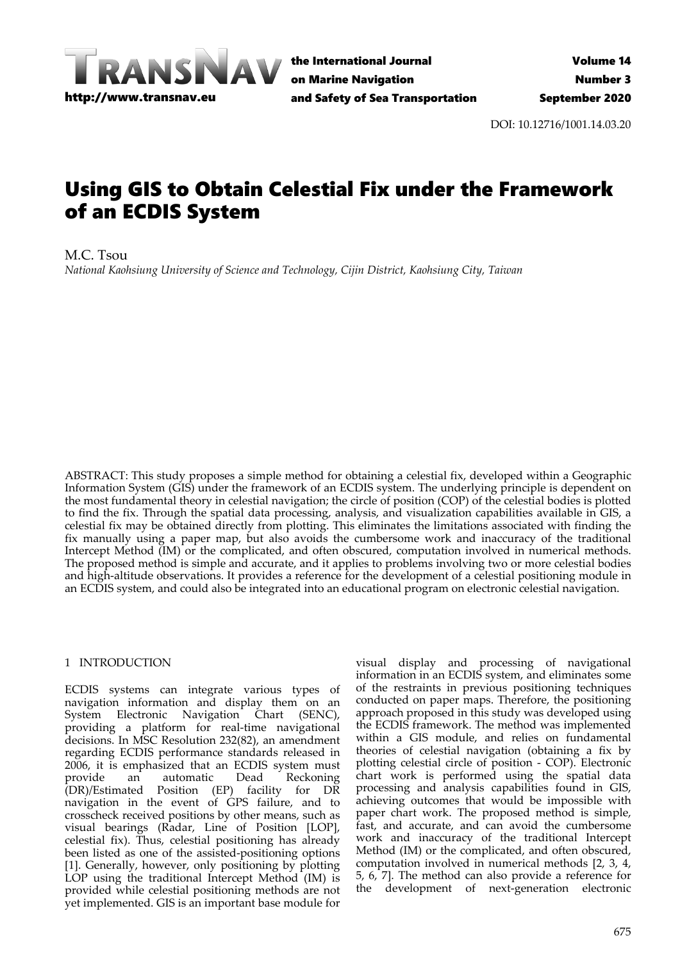

the International Journal on Marine Navigation and Safety of Sea Transportation

DOI: 10.12716/1001.14.03.20

# Using GIS to Obtain Celestial Fix under the Framework of an ECDIS System

M.C. Tsou

*National Kaohsiung University of Science and Technology, Cijin District, Kaohsiung City, Taiwan*

ABSTRACT: This study proposes a simple method for obtaining a celestial fix, developed within a Geographic Information System (GIS) under the framework of an ECDIS system. The underlying principle is dependent on the most fundamental theory in celestial navigation; the circle of position (COP) of the celestial bodies is plotted to find the fix. Through the spatial data processing, analysis, and visualization capabilities available in GIS, a celestial fix may be obtained directly from plotting. This eliminates the limitations associated with finding the fix manually using a paper map, but also avoids the cumbersome work and inaccuracy of the traditional Intercept Method (IM) or the complicated, and often obscured, computation involved in numerical methods. The proposed method is simple and accurate, and it applies to problems involving two or more celestial bodies and high-altitude observations. It provides a reference for the development of a celestial positioning module in an ECDIS system, and could also be integrated into an educational program on electronic celestial navigation.

# 1 INTRODUCTION

ECDIS systems can integrate various types of navigation information and display them on an System Electronic Navigation Chart (SENC), providing a platform for real-time navigational decisions. In MSC Resolution 232(82), an amendment regarding ECDIS performance standards released in 2006, it is emphasized that an ECDIS system must provide an automatic Dead Reckoning (DR)/Estimated Position (EP) facility for DR navigation in the event of GPS failure, and to crosscheck received positions by other means, such as visual bearings (Radar, Line of Position [LOP], celestial fix). Thus, celestial positioning has already been listed as one of the assisted-positioning options [1]. Generally, however, only positioning by plotting LOP using the traditional Intercept Method (IM) is provided while celestial positioning methods are not yet implemented. GIS is an important base module for

visual display and processing of navigational information in an ECDIS system, and eliminates some of the restraints in previous positioning techniques conducted on paper maps. Therefore, the positioning approach proposed in this study was developed using the ECDIS framework. The method was implemented within a GIS module, and relies on fundamental theories of celestial navigation (obtaining a fix by plotting celestial circle of position - COP). Electronic chart work is performed using the spatial data processing and analysis capabilities found in GIS, achieving outcomes that would be impossible with paper chart work. The proposed method is simple, fast, and accurate, and can avoid the cumbersome work and inaccuracy of the traditional Intercept Method (IM) or the complicated, and often obscured, computation involved in numerical methods [2, 3, 4, 5, 6, 7]. The method can also provide a reference for the development of next-generation electronic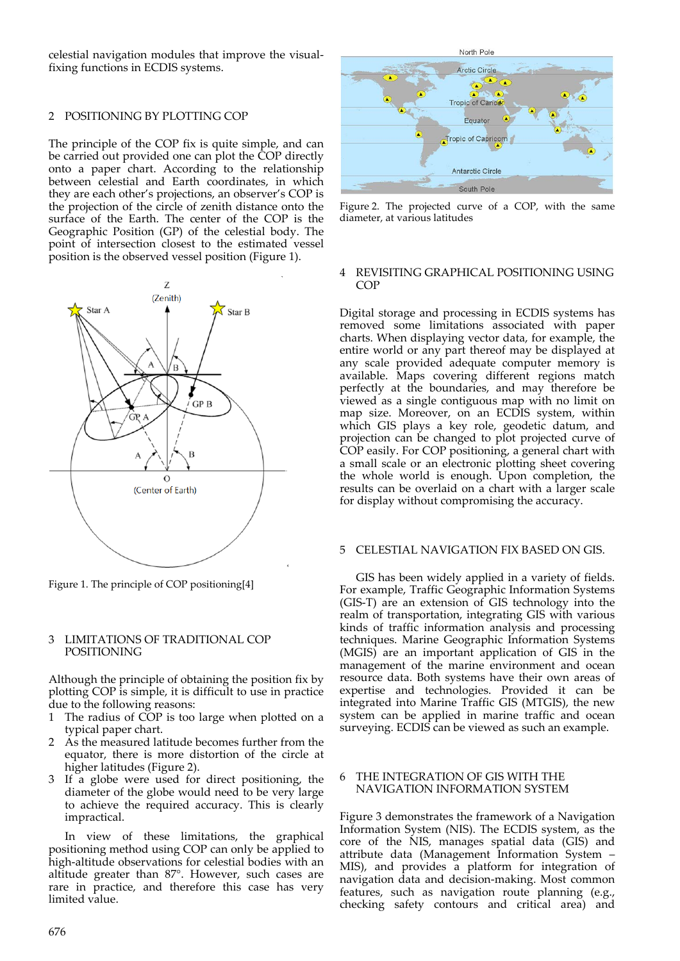celestial navigation modules that improve the visualfixing functions in ECDIS systems.

## 2 POSITIONING BY PLOTTING COP

The principle of the COP fix is quite simple, and can be carried out provided one can plot the COP directly onto a paper chart. According to the relationship between celestial and Earth coordinates, in which they are each other's projections, an observer's COP is the projection of the circle of zenith distance onto the surface of the Earth. The center of the COP is the Geographic Position (GP) of the celestial body. The point of intersection closest to the estimated vessel position is the observed vessel position (Figure 1).



Figure 1. The principle of COP positioning[4]

#### 3 LIMITATIONS OF TRADITIONAL COP POSITIONING

Although the principle of obtaining the position fix by plotting COP is simple, it is difficult to use in practice due to the following reasons:

- 1 The radius of COP is too large when plotted on a typical paper chart.
- 2 As the measured latitude becomes further from the equator, there is more distortion of the circle at higher latitudes (Figure 2).
- 3 If a globe were used for direct positioning, the diameter of the globe would need to be very large to achieve the required accuracy. This is clearly impractical.

In view of these limitations, the graphical positioning method using COP can only be applied to high-altitude observations for celestial bodies with an altitude greater than 87°. However, such cases are rare in practice, and therefore this case has very limited value.



Figure 2. The projected curve of a COP, with the same diameter, at various latitudes

## 4 REVISITING GRAPHICAL POSITIONING USING **COP**

Digital storage and processing in ECDIS systems has removed some limitations associated with paper charts. When displaying vector data, for example, the entire world or any part thereof may be displayed at any scale provided adequate computer memory is available. Maps covering different regions match perfectly at the boundaries, and may therefore be viewed as a single contiguous map with no limit on map size. Moreover, on an ECDIS system, within which GIS plays a key role, geodetic datum, and projection can be changed to plot projected curve of COP easily. For COP positioning, a general chart with a small scale or an electronic plotting sheet covering the whole world is enough. Upon completion, the results can be overlaid on a chart with a larger scale for display without compromising the accuracy.

#### 5 CELESTIAL NAVIGATION FIX BASED ON GIS.

GIS has been widely applied in a variety of fields. For example, Traffic Geographic Information Systems (GIS-T) are an extension of GIS technology into the realm of transportation, integrating GIS with various kinds of traffic information analysis and processing techniques. Marine Geographic Information Systems (MGIS) are an important application of GIS in the management of the marine environment and ocean resource data. Both systems have their own areas of expertise and technologies. Provided it can be integrated into Marine Traffic GIS (MTGIS), the new system can be applied in marine traffic and ocean surveying. ECDIS can be viewed as such an example.

# 6 THE INTEGRATION OF GIS WITH THE NAVIGATION INFORMATION SYSTEM

Figure 3 demonstrates the framework of a Navigation Information System (NIS). The ECDIS system, as the core of the NIS, manages spatial data (GIS) and attribute data (Management Information System – MIS), and provides a platform for integration of navigation data and decision-making. Most common features, such as navigation route planning (e.g., checking safety contours and critical area) and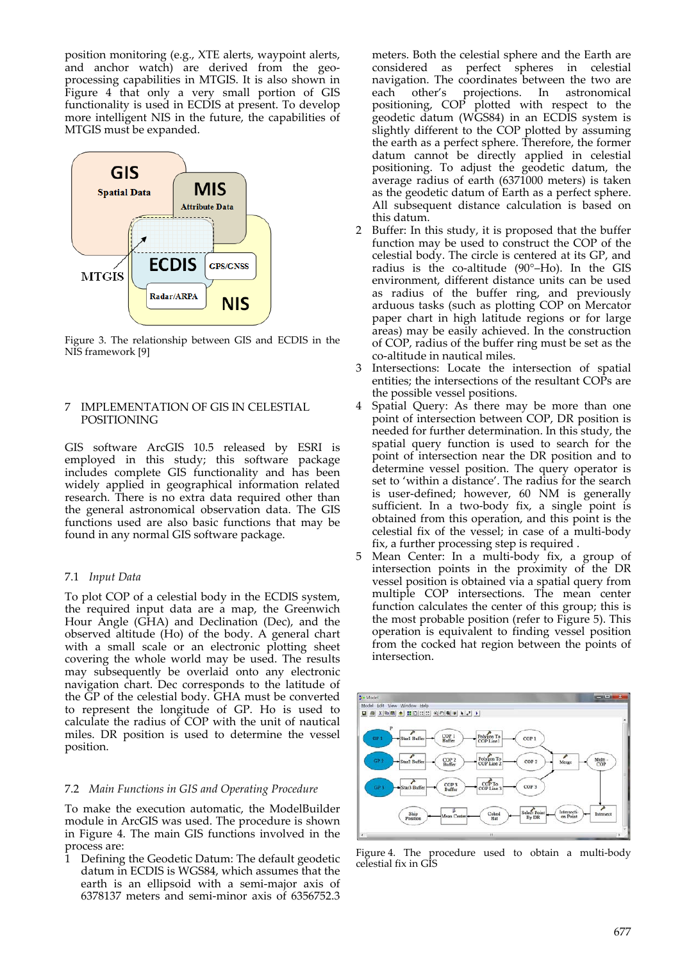position monitoring (e.g., XTE alerts, waypoint alerts, and anchor watch) are derived from the geoprocessing capabilities in MTGIS. It is also shown in Figure 4 that only a very small portion of GIS functionality is used in ECDIS at present. To develop more intelligent NIS in the future, the capabilities of MTGIS must be expanded.



Figure 3. The relationship between GIS and ECDIS in the NIS framework [9]

# 7 IMPLEMENTATION OF GIS IN CELESTIAL POSITIONING

GIS software ArcGIS 10.5 released by ESRI is employed in this study; this software package includes complete GIS functionality and has been widely applied in geographical information related research. There is no extra data required other than the general astronomical observation data. The GIS functions used are also basic functions that may be found in any normal GIS software package.

# 7.1 *Input Data*

To plot COP of a celestial body in the ECDIS system, the required input data are a map, the Greenwich Hour Angle (GHA) and Declination (Dec), and the observed altitude (Ho) of the body. A general chart with a small scale or an electronic plotting sheet covering the whole world may be used. The results may subsequently be overlaid onto any electronic navigation chart. Dec corresponds to the latitude of the GP of the celestial body. GHA must be converted to represent the longitude of GP. Ho is used to calculate the radius of COP with the unit of nautical miles. DR position is used to determine the vessel position.

# 7.2 *Main Functions in GIS and Operating Procedure*

To make the execution automatic, the ModelBuilder module in ArcGIS was used. The procedure is shown in Figure 4. The main GIS functions involved in the process are:

1 Defining the Geodetic Datum: The default geodetic datum in ECDIS is WGS84, which assumes that the earth is an ellipsoid with a semi-major axis of 6378137 meters and semi-minor axis of 6356752.3

meters. Both the celestial sphere and the Earth are considered as perfect spheres in celestial navigation. The coordinates between the two are each other's projections. In astronomical positioning, COP plotted with respect to the geodetic datum (WGS84) in an ECDIS system is slightly different to the COP plotted by assuming the earth as a perfect sphere. Therefore, the former datum cannot be directly applied in celestial positioning. To adjust the geodetic datum, the average radius of earth (6371000 meters) is taken as the geodetic datum of Earth as a perfect sphere. All subsequent distance calculation is based on this datum.

- 2 Buffer: In this study, it is proposed that the buffer function may be used to construct the COP of the celestial body. The circle is centered at its GP, and radius is the co-altitude (90°–Ho). In the GIS environment, different distance units can be used as radius of the buffer ring, and previously arduous tasks (such as plotting COP on Mercator paper chart in high latitude regions or for large areas) may be easily achieved. In the construction of COP, radius of the buffer ring must be set as the co-altitude in nautical miles.
- 3 Intersections: Locate the intersection of spatial entities; the intersections of the resultant COPs are the possible vessel positions.
- 4 Spatial Query: As there may be more than one point of intersection between COP, DR position is needed for further determination. In this study, the spatial query function is used to search for the point of intersection near the DR position and to determine vessel position. The query operator is set to 'within a distance'. The radius for the search is user-defined; however, 60 NM is generally sufficient. In a two-body fix, a single point is obtained from this operation, and this point is the celestial fix of the vessel; in case of a multi-body fix, a further processing step is required .
- Mean Center: In a multi-body fix, a group of intersection points in the proximity of the DR vessel position is obtained via a spatial query from multiple COP intersections. The mean center function calculates the center of this group; this is the most probable position (refer to Figure 5). This operation is equivalent to finding vessel position from the cocked hat region between the points of intersection.



Figure 4. The procedure used to obtain a multi-body celestial fix in GIS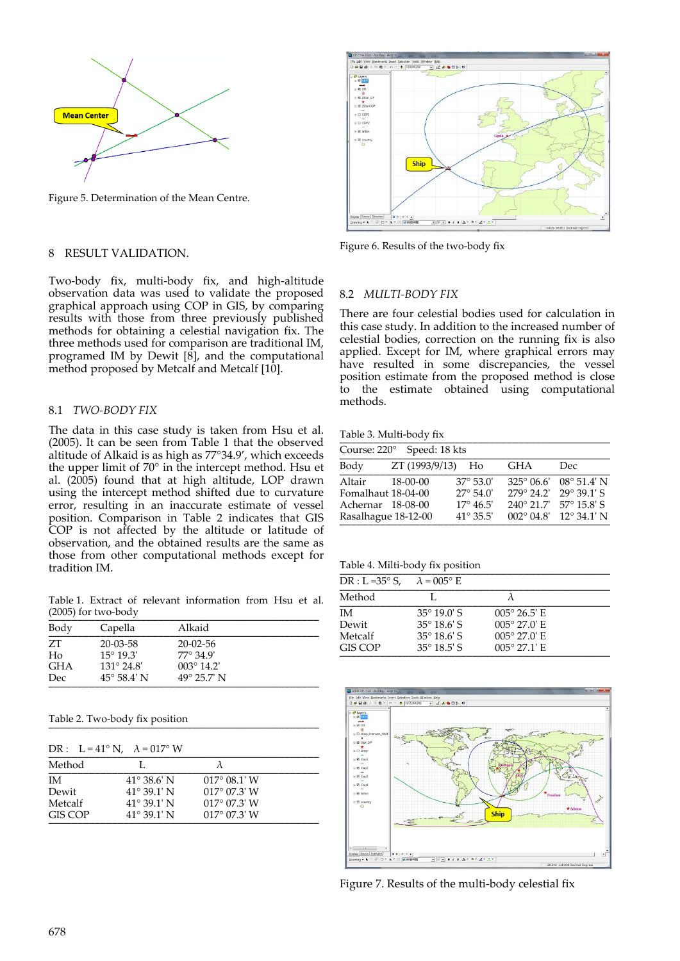

Figure 5. Determination of the Mean Centre.

#### 8 RESULT VALIDATION.

Two-body fix, multi-body fix, and high-altitude observation data was used to validate the proposed graphical approach using COP in GIS, by comparing results with those from three previously published methods for obtaining a celestial navigation fix. The three methods used for comparison are traditional IM, programed IM by Dewit  $\left[\dot{8}\right]$ , and the computational method proposed by Metcalf and Metcalf [10].

## 8.1 *TWO-BODY FIX*

The data in this case study is taken from Hsu et al. (2005). It can be seen from Table 1 that the observed altitude of Alkaid is as high as 77°34.9', which exceeds the upper limit of 70° in the intercept method. Hsu et al. (2005) found that at high altitude, LOP drawn using the intercept method shifted due to curvature error, resulting in an inaccurate estimate of vessel position. Comparison in Table 2 indicates that GIS COP is not affected by the altitude or latitude of observation, and the obtained results are the same as those from other computational methods except for tradition IM.

Table 1. Extract of relevant information from Hsu et al.  $(2005)$  for two-body

| Body       | Capella              | Alkaid               |  |
|------------|----------------------|----------------------|--|
| ZT         | $20 - 03 - 58$       | $20-02-56$           |  |
| Ho         | $15^{\circ} 19.3'$   | $77^{\circ}$ 34.9'   |  |
| <b>GHA</b> | $131^{\circ} 24.8'$  | $003^{\circ}$ 14.2'  |  |
| Dec.       | $45^{\circ}$ 58.4' N | $49^{\circ}$ 25.7' N |  |

Table 2. Two-body fix position

|           | DR: $L = 41^{\circ} N$ , $\lambda = 017^{\circ} W$ |                       |  |
|-----------|----------------------------------------------------|-----------------------|--|
| Method    |                                                    |                       |  |
| <b>IM</b> | $41^{\circ} 38.6' N$                               | $017^{\circ}$ 08.1' W |  |
| Dewit     | $41^{\circ} 39.1' N$                               | $017^{\circ}$ 07.3' W |  |
| Metcalf   | $41^{\circ} 39.1' N$                               | $017^{\circ}$ 07.3' W |  |
| GIS COP   | $41^{\circ} 39.1' N$                               | $017^{\circ}$ 07.3' W |  |



Figure 6. Results of the two-body fix

## 8.2 *MULTI-BODY FIX*

There are four celestial bodies used for calculation in this case study. In addition to the increased number of celestial bodies, correction on the running fix is also applied. Except for IM, where graphical errors may have resulted in some discrepancies, the vessel position estimate from the proposed method is close to the estimate obtained using computational methods.

Table 3. Multi-body fix

| Course: 220° Speed: 18 kts                                               |                   |                                                                                      |                                                           |                                                                    |
|--------------------------------------------------------------------------|-------------------|--------------------------------------------------------------------------------------|-----------------------------------------------------------|--------------------------------------------------------------------|
| Body                                                                     | ZT (1993/9/13) Ho |                                                                                      | GHA                                                       | Dec.                                                               |
| Altair<br>Fomalhaut 18-04-00<br>Achernar 18-08-00<br>Rasalhague 18-12-00 | 18-00-00          | $37^{\circ} 53.0'$<br>$27^{\circ} 54.0'$<br>$17^{\circ} 46.5'$<br>$41^{\circ}$ 35.5' | 279° 24.2' 29° 39.1' S<br>$240^{\circ}$ 21.7' 57° 15.8' S | $325^{\circ}$ 06.6' 08° 51.4' N<br>$002^{\circ}$ 04.8' 12° 34.1' N |

Table 4. Milti-body fix position

| DR : L =35° S, $\lambda$ = 005° E |                       |                       |  |
|-----------------------------------|-----------------------|-----------------------|--|
| Method                            |                       |                       |  |
| ΙM                                | $35^{\circ} 19.0$ ' S | $005^{\circ}$ 26.5' E |  |
| Dewit                             | $35^{\circ} 18.6$ ' S | $005^{\circ}$ 27.0' E |  |
| Metcalf                           | $35^{\circ} 18.6$ ' S | $005^{\circ}$ 27.0' E |  |
| GIS COP                           | $35^{\circ}$ 18.5' S  | $005^{\circ}$ 27.1' E |  |



Figure 7. Results of the multi-body celestial fix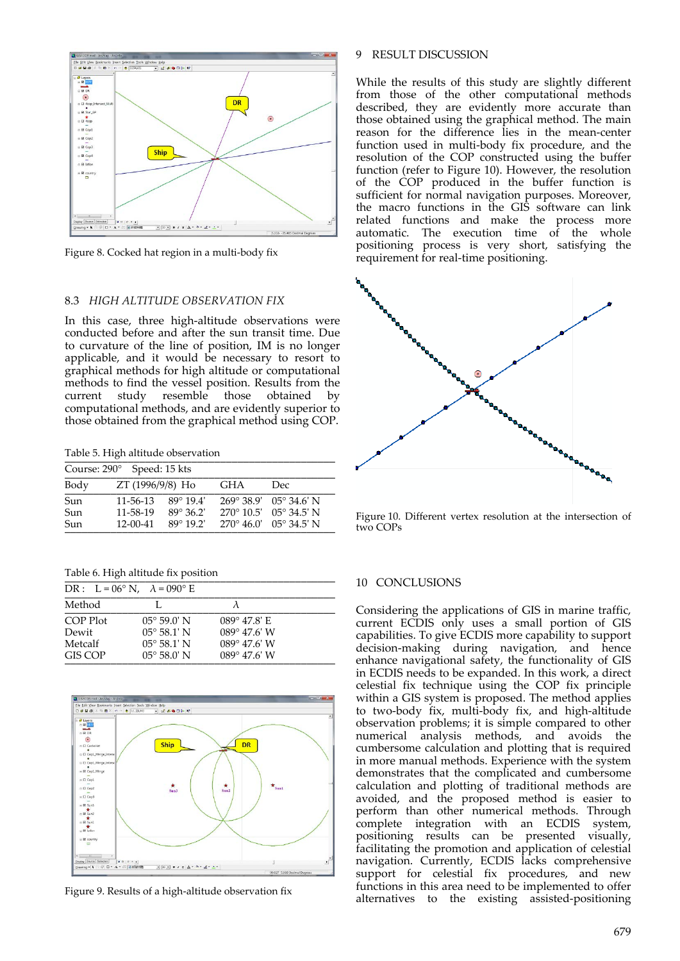

Figure 8. Cocked hat region in a multi-body fix

#### 8.3 *HIGH ALTITUDE OBSERVATION FIX*

In this case, three high-altitude observations were conducted before and after the sun transit time. Due to curvature of the line of position, IM is no longer applicable, and it would be necessary to resort to graphical methods for high altitude or computational methods to find the vessel position. Results from the current study resemble those obtained by computational methods, and are evidently superior to those obtained from the graphical method using COP.

Table 5. High altitude observation

|      | Course: 290° Speed: 15 kts |                    |            |                                  |
|------|----------------------------|--------------------|------------|----------------------------------|
| Body | ZT (1996/9/8) Ho           |                    | <b>GHA</b> | Dec                              |
| Sun  | $11 - 56 - 13$             | $89^{\circ} 19.4'$ |            | $269^{\circ}$ 38.9' 0.5° 34.6' N |
| Sun  | 11-58-19                   | $89^{\circ}36.2'$  |            | $270^{\circ}$ 10.5' 0.5° 34.5' N |
| Sun  | $12 - 00 - 41$             | $89^{\circ} 19.2'$ |            | $270^{\circ} 46.0'$ 0.5° 34.5' N |

Table 6. High altitude fix position

|          | DR : $L = 06^\circ$ N, $\lambda = 090^\circ$ E |                       |  |
|----------|------------------------------------------------|-----------------------|--|
| Method   | L.                                             | $\lambda$             |  |
| COP Plot | $05^{\circ} 59.0' N$                           | $089^{\circ}$ 47.8' E |  |
| Dewit    | $05^{\circ} 58.1' N$                           | $089^{\circ}$ 47.6' W |  |
| Metcalf  | $05^{\circ} 58.1' N$                           | $089^{\circ}$ 47.6' W |  |
| GIS COP  | $05^{\circ} 58.0^{\circ}$ N                    | $089^{\circ}$ 47.6' W |  |



Figure 9. Results of a high-altitude observation fix

## 9 RESULT DISCUSSION

While the results of this study are slightly different from those of the other computational methods described, they are evidently more accurate than those obtained using the graphical method. The main reason for the difference lies in the mean-center function used in multi-body fix procedure, and the resolution of the COP constructed using the buffer function (refer to Figure 10). However, the resolution of the COP produced in the buffer function is sufficient for normal navigation purposes. Moreover, the macro functions in the GIS software can link related functions and make the process more automatic. The execution time of the whole positioning process is very short, satisfying the requirement for real-time positioning.



Figure 10. Different vertex resolution at the intersection of two COPs

#### 10 CONCLUSIONS

Considering the applications of GIS in marine traffic, current ECDIS only uses a small portion of GIS capabilities. To give ECDIS more capability to support decision-making during navigation, and hence enhance navigational safety, the functionality of GIS in ECDIS needs to be expanded. In this work, a direct celestial fix technique using the COP fix principle within a GIS system is proposed. The method applies to two-body fix, multi-body fix, and high-altitude observation problems; it is simple compared to other numerical analysis methods, and avoids the cumbersome calculation and plotting that is required in more manual methods. Experience with the system demonstrates that the complicated and cumbersome calculation and plotting of traditional methods are avoided, and the proposed method is easier to perform than other numerical methods. Through complete integration with an ECDIS system, positioning results can be presented visually, facilitating the promotion and application of celestial navigation. Currently, ECDIS lacks comprehensive support for celestial fix procedures, and new functions in this area need to be implemented to offer alternatives to the existing assisted-positioning